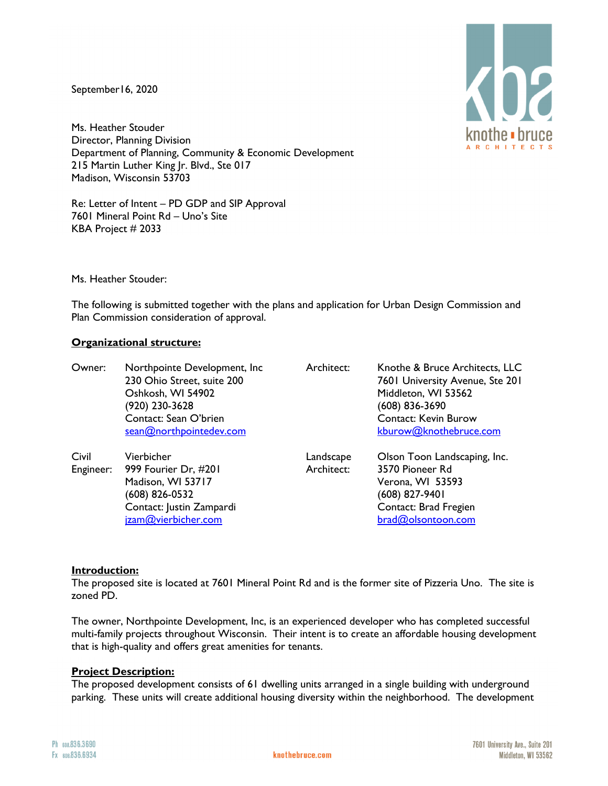September16, 2020

Ms. Heather Stouder Director, Planning Division Department of Planning, Community & Economic Development 215 Martin Luther King Jr. Blvd., Ste 017 Madison, Wisconsin 53703

Re: Letter of Intent – PD GDP and SIP Approval 7601 Mineral Point Rd – Uno's Site KBA Project # 2033

Ms. Heather Stouder:

The following is submitted together with the plans and application for Urban Design Commission and Plan Commission consideration of approval.

### **Organizational structure:**

| Owner: | Northpointe Development, Inc.<br>230 Ohio Street, suite 200<br>Oshkosh, WI 54902<br>(920) 230-3628<br>Contact: Sean O'brien<br>sean@northpointedev.com | Architect:              | Knothe & Bruce Architects, LLC<br>7601 University Avenue, Ste 201<br>Middleton, WI 53562<br>(608) 836-3690<br><b>Contact: Kevin Burow</b><br>kburow@knothebruce.com |
|--------|--------------------------------------------------------------------------------------------------------------------------------------------------------|-------------------------|---------------------------------------------------------------------------------------------------------------------------------------------------------------------|
| Civil  | Vierbicher<br>Engineer: 999 Fourier Dr, #201<br>Madison, WI 53717<br>(608) 826-0532<br>Contact: Justin Zampardi<br>jzam@vierbicher.com                 | Landscape<br>Architect: | Olson Toon Landscaping, Inc.<br>3570 Pioneer Rd<br>Verona, WI 53593<br>(608) 827-9401<br>Contact: Brad Fregien<br>brad@olsontoon.com                                |

#### **Introduction:**

The proposed site is located at 7601 Mineral Point Rd and is the former site of Pizzeria Uno. The site is zoned PD.

The owner, Northpointe Development, Inc, is an experienced developer who has completed successful multi-family projects throughout Wisconsin. Their intent is to create an affordable housing development that is high-quality and offers great amenities for tenants.

#### **Project Description:**

The proposed development consists of 61 dwelling units arranged in a single building with underground parking. These units will create additional housing diversity within the neighborhood. The development

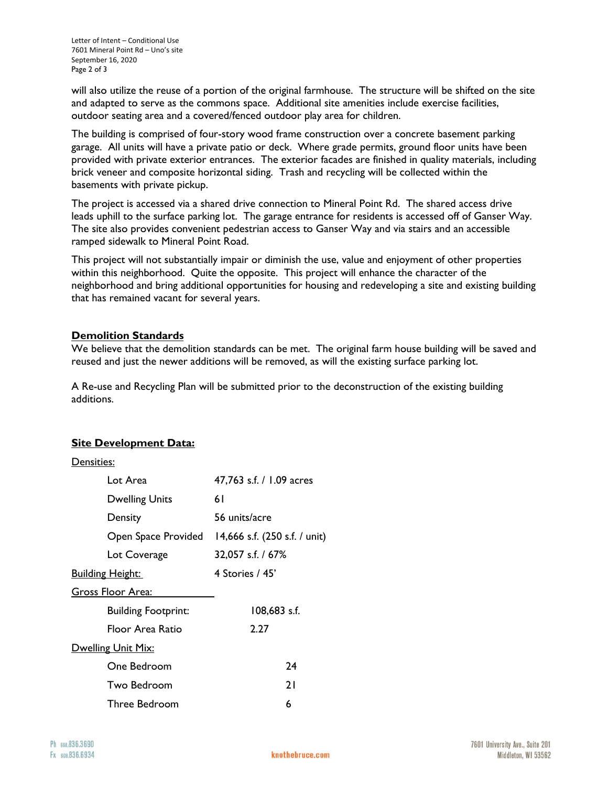will also utilize the reuse of a portion of the original farmhouse. The structure will be shifted on the site and adapted to serve as the commons space. Additional site amenities include exercise facilities, outdoor seating area and a covered/fenced outdoor play area for children.

The building is comprised of four-story wood frame construction over a concrete basement parking garage. All units will have a private patio or deck. Where grade permits, ground floor units have been provided with private exterior entrances. The exterior facades are finished in quality materials, including brick veneer and composite horizontal siding. Trash and recycling will be collected within the basements with private pickup.

The project is accessed via a shared drive connection to Mineral Point Rd. The shared access drive leads uphill to the surface parking lot. The garage entrance for residents is accessed off of Ganser Way. The site also provides convenient pedestrian access to Ganser Way and via stairs and an accessible ramped sidewalk to Mineral Point Road.

This project will not substantially impair or diminish the use, value and enjoyment of other properties within this neighborhood. Quite the opposite. This project will enhance the character of the neighborhood and bring additional opportunities for housing and redeveloping a site and existing building that has remained vacant for several years.

# **Demolition Standards**

We believe that the demolition standards can be met. The original farm house building will be saved and reused and just the newer additions will be removed, as will the existing surface parking lot.

A Re-use and Recycling Plan will be submitted prior to the deconstruction of the existing building additions.

## **Site Development Data:**

## Densities:

| Lot Area                   | 47,763 s.f. / 1.09 acres      |  |
|----------------------------|-------------------------------|--|
| <b>Dwelling Units</b>      | 61                            |  |
| Density                    | 56 units/acre                 |  |
| Open Space Provided        | 14,666 s.f. (250 s.f. / unit) |  |
| Lot Coverage               | 32,057 s.f. / 67%             |  |
| <u> Building Height:</u>   | 4 Stories / 45'               |  |
| <u>Gross Floor Area:</u>   |                               |  |
| <b>Building Footprint:</b> | 108,683 s.f.                  |  |
| Floor Area Ratio           | 2.27                          |  |
| Dwelling Unit Mix:         |                               |  |
| One Bedroom                | 24                            |  |
| Two Bedroom                | 21                            |  |
| Three Bedroom              | 6                             |  |